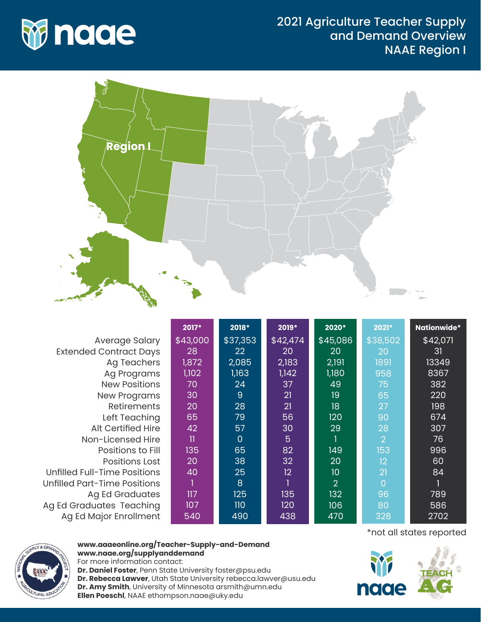

## 2021 Agriculture Teacher Supply and Demand Overview NAAE Region I



|                                     | 2017*        | 2018*          | 2019*           | 2020*          | 2021*          | Nationwide* |
|-------------------------------------|--------------|----------------|-----------------|----------------|----------------|-------------|
| Average Salary                      | \$43,000     | \$37,353       | \$42,474        | \$45,086       | \$38,502       | \$42,071    |
| <b>Extended Contract Days</b>       | 28           | 22             | 20              | 20             | 20             | 31          |
| <b>Ag Teachers</b>                  | 1,872        | 2,085          | 2,183           | 2,191          | 1891           | 13349       |
| Ag Programs                         | 1,102        | 1,163          | 1,142           | 1,180          | 958            | 8367        |
| <b>New Positions</b>                | 70           | 24             | 37              | 49             | 75             | 382         |
| <b>New Programs</b>                 | 30           | 9              | 21              | 19             | 65             | 220         |
| <b>Retirements</b>                  | 20           | 28             | 21              | 18             | 27             | 198         |
| Left Teaching                       | 65           | 79             | 56              | 120            | 90             | 674         |
| <b>Alt Certified Hire</b>           | 42           | 57             | 30              | 29             | 28             | 307         |
| Non-Licensed Hire                   | $\mathbf{I}$ | $\overline{0}$ | 5               |                | $\overline{2}$ | 76          |
| Positions to Fill                   | 135          | 65             | 82              | 149            | 153            | 996         |
| <b>Positions Lost</b>               | 20           | 38             | 32              | 20             | 12             | 60          |
| <b>Unfilled Full-Time Positions</b> | 40           | 25             | 12 <sup>2</sup> | 10             | 21             | 84          |
| Unfilled Part-Time Positions        |              | 8              |                 | $\overline{2}$ | $\Omega$       |             |
| <b>Ag Ed Graduates</b>              | 117          | 125            | 135             | 132            | 96             | 789         |
| Ag Ed Graduates Teaching            | 107          | 110            | 120             | 106            | 80             | 586         |
| Ag Ed Major Enrollment              | 540          | 490            | 438             | 470            | 328            | 2702        |



## **www.aaaeonline.org/Teacher-Supply-and-Demand www.naae.org/supplyanddemand**

For more information contact: **Dr. Daniel Foster**, Penn State University foster@psu.edu **Dr. Rebecca Lawver**, Utah State University rebecca.lawver@usu.edu **Dr. Amy Smith**, University of Minnesota arsmith@umn.edu **Ellen Poeschl**, NAAE ethompson.naae@uky.edu

\*not all states reported